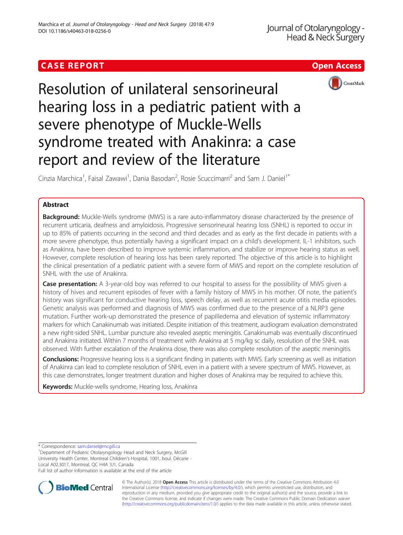## **CASE REPORT CASE REPORT CASE REPORT**





# Resolution of unilateral sensorineural hearing loss in a pediatric patient with a severe phenotype of Muckle-Wells syndrome treated with Anakinra: a case report and review of the literature

Cinzia Marchica<sup>1</sup>, Faisal Zawawi<sup>1</sup>, Dania Basodan<sup>2</sup>, Rosie Scuccimarri<sup>2</sup> and Sam J. Daniel<sup>1\*</sup>

## Abstract

Background: Muckle-Wells syndrome (MWS) is a rare auto-inflammatory disease characterized by the presence of recurrent urticaria, deafness and amyloidosis. Progressive sensorineural hearing loss (SNHL) is reported to occur in up to 85% of patients occurring in the second and third decades and as early as the first decade in patients with a more severe phenotype, thus potentially having a significant impact on a child's development. IL-1 inhibitors, such as Anakinra, have been described to improve systemic inflammation, and stabilize or improve hearing status as well. However, complete resolution of hearing loss has been rarely reported. The objective of this article is to highlight the clinical presentation of a pediatric patient with a severe form of MWS and report on the complete resolution of SNHL with the use of Anakinra.

Case presentation: A 3-year-old boy was referred to our hospital to assess for the possibility of MWS given a history of hives and recurrent episodes of fever with a family history of MWS in his mother. Of note, the patient's history was significant for conductive hearing loss, speech delay, as well as recurrent acute otitis media episodes. Genetic analysis was performed and diagnosis of MWS was confirmed due to the presence of a NLRP3 gene mutation. Further work-up demonstrated the presence of papilledema and elevation of systemic inflammatory markers for which Canakinumab was initiated. Despite initiation of this treatment, audiogram evaluation demonstrated a new right-sided SNHL. Lumbar puncture also revealed aseptic meningitis. Canakinumab was eventually discontinued and Anakinra initiated. Within 7 months of treatment with Anakinra at 5 mg/kg sc daily, resolution of the SNHL was observed. With further escalation of the Anakinra dose, there was also complete resolution of the aseptic meningitis.

Conclusions: Progressive hearing loss is a significant finding in patients with MWS. Early screening as well as initiation of Anakinra can lead to complete resolution of SNHL even in a patient with a severe spectrum of MWS. However, as this case demonstrates, longer treatment duration and higher doses of Anakinra may be required to achieve this.

Keywords: Muckle-wells syndrome, Hearing loss, Anakinra

\* Correspondence: [sam.daniel@mcgill.ca](mailto:sam.daniel@mcgill.ca) <sup>1</sup>

<sup>1</sup>Department of Pediatric Otolaryngology Head and Neck Surgery, McGill University Health Center, Montreal Children's Hospital, 1001, boul. Décarie - Local A02.3017, Montreal, QC H4A 3J1, Canada Full list of author information is available at the end of the article



© The Author(s). 2018 Open Access This article is distributed under the terms of the Creative Commons Attribution 4.0 International License [\(http://creativecommons.org/licenses/by/4.0/](http://creativecommons.org/licenses/by/4.0/)), which permits unrestricted use, distribution, and reproduction in any medium, provided you give appropriate credit to the original author(s) and the source, provide a link to the Creative Commons license, and indicate if changes were made. The Creative Commons Public Domain Dedication waiver [\(http://creativecommons.org/publicdomain/zero/1.0/](http://creativecommons.org/publicdomain/zero/1.0/)) applies to the data made available in this article, unless otherwise stated.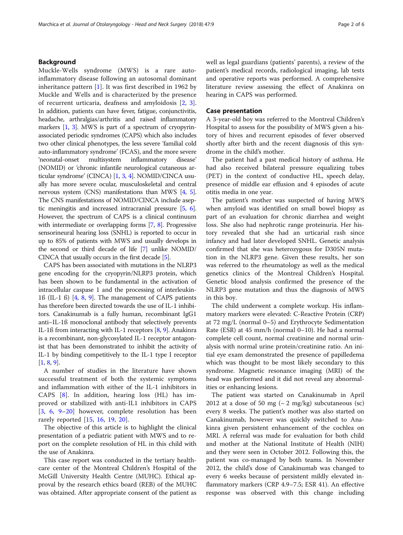## Background

Muckle-Wells syndrome (MWS) is a rare autoinflammatory disease following an autosomal dominant inheritance pattern  $[1]$  $[1]$ . It was first described in 1962 by Muckle and Wells and is characterized by the presence of recurrent urticaria, deafness and amyloidosis [[2,](#page-4-0) [3](#page-4-0)]. In addition, patients can have fever, fatigue, conjunctivitis, headache, arthralgias/arthritis and raised inflammatory markers [[1](#page-4-0), [3](#page-4-0)]. MWS is part of a spectrum of cryopyrinassociated periodic syndromes (CAPS) which also includes two other clinical phenotypes, the less severe 'familial cold auto-inflammatory syndrome' (FCAS), and the more severe 'neonatal-onset multisystem inflammatory disease' (NOMID) or 'chronic infantile neurological cutaneous articular syndrome' (CINCA) [[1](#page-4-0), [3,](#page-4-0) [4](#page-4-0)]. NOMID/CINCA usually has more severe ocular, musculoskeletal and central nervous system (CNS) manifestations than MWS [\[4,](#page-4-0) [5](#page-4-0)]. The CNS manifestations of NOMID/CINCA include aseptic meningitis and increased intracranial pressure [\[5,](#page-4-0) [6](#page-4-0)]. However, the spectrum of CAPS is a clinical continuum with intermediate or overlapping forms [\[7,](#page-4-0) [8](#page-4-0)]. Progressive sensorineural hearing loss (SNHL) is reported to occur in up to 85% of patients with MWS and usually develops in the second or third decade of life [[7](#page-4-0)] unlike NOMID/ CINCA that usually occurs in the first decade [[5](#page-4-0)].

CAPS has been associated with mutations in the NLRP3 gene encoding for the cryopyrin/NLRP3 protein, which has been shown to be fundamental in the activation of intracellular caspase 1 and the processing of interleukin-1ß (IL-1 ß) [[4](#page-4-0), [8](#page-4-0), [9\]](#page-4-0). The management of CAPS patients has therefore been directed towards the use of IL-1 inhibitors. Canakinumab is a fully human, recombinant IgG1 anti–IL-1ß monoclonal antibody that selectively prevents IL-1ß from interacting with IL-1 receptors [\[8](#page-4-0), [9\]](#page-4-0). Anakinra is a recombinant, non-glycosylated IL-1 receptor antagonist that has been demonstrated to inhibit the activity of IL-1 by binding competitively to the IL-1 type I receptor [[1,](#page-4-0) [8](#page-4-0), [9\]](#page-4-0).

A number of studies in the literature have shown successful treatment of both the systemic symptoms and inflammation with either of the IL-1 inhibitors in CAPS [[8\]](#page-4-0). In addition, hearing loss (HL) has improved or stabilized with anti-IL1 inhibitors in CAPS [[3,](#page-4-0) [6](#page-4-0), [9](#page-4-0)–[20](#page-5-0)] however, complete resolution has been rarely reported [[15](#page-5-0), [16](#page-5-0), [19](#page-5-0), [20](#page-5-0)].

The objective of this article is to highlight the clinical presentation of a pediatric patient with MWS and to report on the complete resolution of HL in this child with the use of Anakinra.

This case report was conducted in the tertiary healthcare center of the Montreal Children's Hospital of the McGill University Health Centre (MUHC). Ethical approval by the research ethics board (REB) of the MUHC was obtained. After appropriate consent of the patient as well as legal guardians (patients' parents), a review of the patient's medical records, radiological imaging, lab tests and operative reports was performed. A comprehensive literature review assessing the effect of Anakinra on hearing in CAPS was performed.

#### Case presentation

A 3-year-old boy was referred to the Montreal Children's Hospital to assess for the possibility of MWS given a history of hives and recurrent episodes of fever observed shortly after birth and the recent diagnosis of this syndrome in the child's mother.

The patient had a past medical history of asthma. He had also received bilateral pressure equalizing tubes (PET) in the context of conductive HL, speech delay, presence of middle ear effusion and 4 episodes of acute otitis media in one year.

The patient's mother was suspected of having MWS when amyloid was identified on small bowel biopsy as part of an evaluation for chronic diarrhea and weight loss. She also had nephrotic range proteinuria. Her history revealed that she had an urticarial rash since infancy and had later developed SNHL. Genetic analysis confirmed that she was heterozygous for D305N mutation in the NLRP3 gene. Given these results, her son was referred to the rheumatology as well as the medical genetics clinics of the Montreal Children's Hospital. Genetic blood analysis confirmed the presence of the NLRP3 gene mutation and thus the diagnosis of MWS in this boy.

The child underwent a complete workup. His inflammatory markers were elevated: C-Reactive Protein (CRP) at 72 mg/L (normal 0–5) and Erythrocyte Sedimentation Rate (ESR) at 45 mm/h (normal 0–10). He had a normal complete cell count, normal creatinine and normal urinalysis with normal urine protein/creatinine ratio. An initial eye exam demonstrated the presence of papilledema which was thought to be most likely secondary to this syndrome. Magnetic resonance imaging (MRI) of the head was performed and it did not reveal any abnormalities or enhancing lesions.

The patient was started on Canakinumab in April 2012 at a dose of 50 mg ( $\sim$  2 mg/kg) subcutaneous (sc) every 8 weeks. The patient's mother was also started on Canakinumab, however was quickly switched to Anakinra given persistent enhancement of the cochlea on MRI. A referral was made for evaluation for both child and mother at the National Institute of Health (NIH) and they were seen in October 2012. Following this, the patient was co-managed by both teams. In November 2012, the child's dose of Canakinumab was changed to every 6 weeks because of persistent mildly elevated inflammatory markers (CRP 4.9–7.5; ESR 41). An effective response was observed with this change including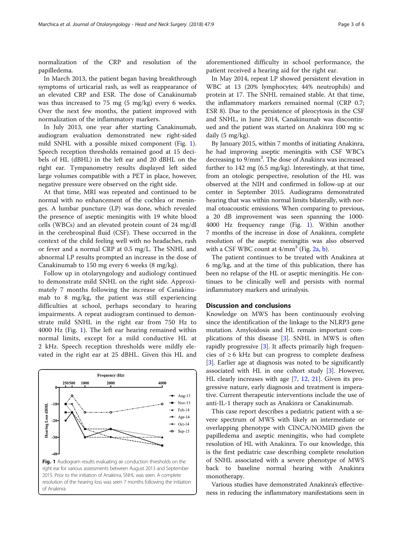normalization of the CRP and resolution of the papilledema.

In March 2013, the patient began having breakthrough symptoms of urticarial rash, as well as reappearance of an elevated CRP and ESR. The dose of Canakinumab was thus increased to 75 mg (5 mg/kg) every 6 weeks. Over the next few months, the patient improved with normalization of the inflammatory markers.

In July 2013, one year after starting Canakinumab, audiogram evaluation demonstrated new right-sided mild SNHL with a possible mixed component (Fig. 1). Speech reception thresholds remained good at 15 decibels of HL (dBHL) in the left ear and 20 dBHL on the right ear. Tympanometry results displayed left sided large volumes compatible with a PET in place, however, negative pressure were observed on the right side.

At that time, MRI was repeated and continued to be normal with no enhancement of the cochlea or meninges. A lumbar puncture (LP) was done, which revealed the presence of aseptic meningitis with 19 white blood cells (WBCs) and an elevated protein count of 24 mg/dl in the cerebrospinal fluid (CSF). These occurred in the context of the child feeling well with no headaches, rash or fever and a normal CRP at 0.5 mg/L. The SNHL and abnormal LP results prompted an increase in the dose of Canakinumab to 150 mg every 6 weeks (8 mg/kg).

Follow up in otolaryngology and audiology continued to demonstrate mild SNHL on the right side. Approximately 7 months following the increase of Canakinumab to 8 mg/kg, the patient was still experiencing difficulties at school, perhaps secondary to hearing impairments. A repeat audiogram continued to demonstrate mild SNHL in the right ear from 750 Hz to 4000 Hz (Fig. 1). The left ear hearing remained within normal limits, except for a mild conductive HL at 2 kHz. Speech reception thresholds were mildly elevated in the right ear at 25 dBHL. Given this HL and



aforementioned difficulty in school performance, the patient received a hearing aid for the right ear.

In May 2014, repeat LP showed persistent elevation in WBC at 13 (20% lymphocytes; 44% neutrophils) and protein at 17. The SNHL remained stable. At that time, the inflammatory markers remained normal (CRP 0.7; ESR 8). Due to the persistence of pleocytosis in the CSF and SNHL, in June 2014, Canakinumab was discontinued and the patient was started on Anakinra 100 mg sc daily (5 mg/kg).

By January 2015, within 7 months of initiating Anakinra, he had improving aseptic meningitis with CSF WBC's decreasing to 9/mm<sup>3</sup>. The dose of Anakinra was increased further to 142 mg (6.5 mg/kg). Interestingly, at that time, from an otologic perspective, resolution of the HL was observed at the NIH and confirmed in follow-up at our center in September 2015. Audiograms demonstrated hearing that was within normal limits bilaterally, with normal otoacoustic emissions. When comparing to previous, a 20 dB improvement was seen spanning the 1000- 4000 Hz frequency range (Fig. 1). Within another 7 months of the increase in dose of Anakinra, complete resolution of the aseptic meningitis was also observed with a CSF WBC count at  $4/\text{mm}^3$  (Fig. [2a, b](#page-3-0)).

The patient continues to be treated with Anakinra at 6 mg/kg, and at the time of this publication, there has been no relapse of the HL or aseptic meningitis. He continues to be clinically well and persists with normal inflammatory markers and urinalysis.

### Discussion and conclusions

Knowledge on MWS has been continuously evolving since the identification of the linkage to the NLRP3 gene mutation. Amyloidosis and HL remain important complications of this disease [[3](#page-4-0)]. SNHL in MWS is often rapidly progressive [[3\]](#page-4-0). It affects primarily high frequencies of  $\geq 6$  kHz but can progress to complete deafness [[3\]](#page-4-0). Earlier age at diagnosis was noted to be significantly associated with HL in one cohort study [[3](#page-4-0)]. However, HL clearly increases with age [\[7](#page-4-0), [12](#page-5-0), [21\]](#page-5-0). Given its progressive nature, early diagnosis and treatment is imperative. Current therapeutic interventions include the use of anti-IL-1 therapy such as Anakinra or Canakinumab.

This case report describes a pediatric patient with a severe spectrum of MWS with likely an intermediate or overlapping phenotype with CINCA/NOMID given the papilledema and aseptic meningitis, who had complete resolution of HL with Anakinra. To our knowledge, this is the first pediatric case describing complete resolution of SNHL associated with a severe phenotype of MWS back to baseline normal hearing with Anakinra monotherapy.

Various studies have demonstrated Anakinra's effectiveness in reducing the inflammatory manifestations seen in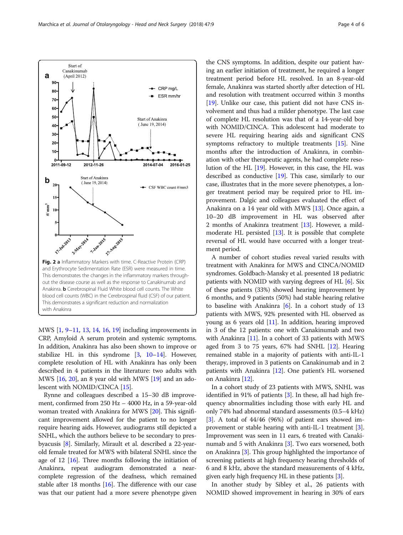MWS [[1](#page-4-0), [9](#page-4-0)–[11,](#page-4-0) [13](#page-5-0), [14](#page-5-0), [16,](#page-5-0) [19\]](#page-5-0) including improvements in CRP, Amyloid A serum protein and systemic symptoms. In addition, Anakinra has also been shown to improve or stabilize HL in this syndrome [[3,](#page-4-0) [10](#page-4-0)–[14\]](#page-5-0). However, complete resolution of HL with Anakinra has only been described in 4 patients in the literature: two adults with MWS [[16](#page-5-0), [20](#page-5-0)], an 8 year old with MWS [\[19\]](#page-5-0) and an adolescent with NOMID/CINCA [\[15\]](#page-5-0).

Rynne and colleagues described a 15–30 dB improvement, confirmed from 250 Hz – 4000 Hz, in a 59-year-old woman treated with Anakinra for MWS [[20](#page-5-0)]. This significant improvement allowed for the patient to no longer require hearing aids. However, audiograms still depicted a SNHL, which the authors believe to be secondary to presbyacusis [\[8](#page-4-0)]. Similarly, Mirault et al. described a 22-yearold female treated for MWS with bilateral SNHL since the age of 12 [\[16\]](#page-5-0). Three months following the initiation of Anakinra, repeat audiogram demonstrated a nearcomplete regression of the deafness, which remained stable after 18 months  $[16]$  $[16]$  $[16]$ . The difference with our case was that our patient had a more severe phenotype given

the CNS symptoms. In addition, despite our patient having an earlier initiation of treatment, he required a longer treatment period before HL resolved. In an 8-year-old female, Anakinra was started shortly after detection of HL and resolution with treatment occurred within 3 months [[19](#page-5-0)]. Unlike our case, this patient did not have CNS involvement and thus had a milder phenotype. The last case of complete HL resolution was that of a 14-year-old boy with NOMID/CINCA. This adolescent had moderate to severe HL requiring hearing aids and significant CNS symptoms refractory to multiple treatments [[15\]](#page-5-0). Nine months after the introduction of Anakinra, in combination with other therapeutic agents, he had complete resolution of the HL [\[19\]](#page-5-0). However, in this case, the HL was described as conductive [\[19\]](#page-5-0). This case, similarly to our case, illustrates that in the more severe phenotypes, a longer treatment period may be required prior to HL improvement. Dalgic and colleagues evaluated the effect of Anakinra on a 14 year old with MWS [\[13\]](#page-5-0). Once again, a 10–20 dB improvement in HL was observed after 2 months of Anakinra treatment [\[13\]](#page-5-0). However, a mildmoderate HL persisted [\[13](#page-5-0)]. It is possible that complete reversal of HL would have occurred with a longer treatment period.

A number of cohort studies reveal varied results with treatment with Anakinra for MWS and CINCA/NOMID syndromes. Goldbach-Mansky et al. presented 18 pediatric patients with NOMID with varying degrees of HL [\[6](#page-4-0)]. Six of these patients (33%) showed hearing improvement by 6 months, and 9 patients (50%) had stable hearing relative to baseline with Anakinra  $[6]$  $[6]$ . In a cohort study of 13 patients with MWS, 92% presented with HL observed as young as 6 years old  $[11]$ . In addition, hearing improved in 3 of the 12 patients: one with Canakinumab and two with Anakinra [[11](#page-4-0)]. In a cohort of 33 patients with MWS aged from 3 to 75 years,  $67\%$  had SNHL  $[12]$ . Hearing remained stable in a majority of patients with anti-IL-1 therapy, improved in 3 patients on Canakinumab and in 2 patients with Anakinra [\[12\]](#page-5-0). One patient's HL worsened on Anakinra [\[12](#page-5-0)].

In a cohort study of 23 patients with MWS, SNHL was identified in 91% of patients [[3\]](#page-4-0). In these, all had high frequency abnormalities including those with early HL and only 74% had abnormal standard assessments (0.5–4 kHz) [[3\]](#page-4-0). A total of 44/46 (96%) of patient ears showed improvement or stable hearing with anti-IL-1 treatment [[3](#page-4-0)]. Improvement was seen in 11 ears, 6 treated with Canakinumab and 5 with Anakinra [\[3](#page-4-0)]. Two ears worsened, both on Anakinra [\[3](#page-4-0)]. This group highlighted the importance of screening patients at high frequency hearing thresholds of 6 and 8 kHz, above the standard measurements of 4 kHz, given early high frequency HL in these patients [[3](#page-4-0)].

In another study by Sibley et al., 26 patients with NOMID showed improvement in hearing in 30% of ears

<span id="page-3-0"></span>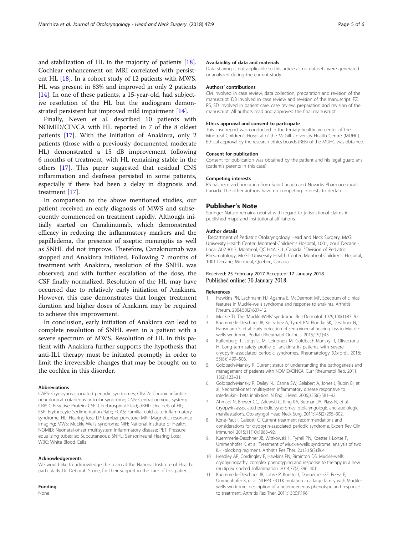<span id="page-4-0"></span>and stabilization of HL in the majority of patients [\[18](#page-5-0)]. Cochlear enhancement on MRI correlated with persistent HL [[18\]](#page-5-0). In a cohort study of 12 patients with MWS, HL was present in 83% and improved in only 2 patients [[14\]](#page-5-0). In one of these patients, a 15-year-old, had subjective resolution of the HL but the audiogram demonstrated persistent but improved mild impairment [[14](#page-5-0)].

Finally, Neven et al. described 10 patients with NOMID/CINCA with HL reported in 7 of the 8 oldest patients [\[17](#page-5-0)]. With the initiation of Anakinra, only 2 patients (those with a previously documented moderate HL) demonstrated a 15 dB improvement following 6 months of treatment, with HL remaining stable in the others [\[17](#page-5-0)]. This paper suggested that residual CNS inflammation and deafness persisted in some patients, especially if there had been a delay in diagnosis and treatment [[17\]](#page-5-0).

In comparison to the above mentioned studies, our patient received an early diagnosis of MWS and subsequently commenced on treatment rapidly. Although initially started on Canakinumab, which demonstrated efficacy in reducing the inflammatory markers and the papilledema, the presence of aseptic meningitis as well as SNHL did not improve. Therefore, Canakinumab was stopped and Anakinra initiated. Following 7 months of treatment with Anakinra, resolution of the SNHL was observed; and with further escalation of the dose, the CSF finally normalized. Resolution of the HL may have occurred due to relatively early initiation of Anakinra. However, this case demonstrates that longer treatment duration and higher doses of Anakinra may be required to achieve this improvement.

In conclusion, early initiation of Anakinra can lead to complete resolution of SNHL even in a patient with a severe spectrum of MWS. Resolution of HL in this patient with Anakinra further supports the hypothesis that anti-IL1 therapy must be initiated promptly in order to limit the irreversible changes that may be brought on to the cochlea in this disorder.

#### Abbreviations

CAPS: Cryopyrin-associated periodic syndromes; CINCA: Chronic infantile neurological cutaneous articular syndrome; CNS: Central nervous system; CRP: C-Reactive Protein; CSF: Cerebrospinal Fluid; dBHL: Decibels of HL; ESR: Erythrocyte Sedimentation Rate; FCAS: Familial cold auto-inflammatory syndrome; HL: Hearing loss; LP: Lumbar puncture; MRI: Magnetic resonance imaging; MWS: Muckle-Wells syndrome; NIH: National Institute of Health; NOMID: Neonatal-onset multisystem inflammatory disease; PET: Pressure equalizing tubes; sc: Subcutaneous; SNHL: Sensorineural Hearing Loss; WBC: White Blood Cells

#### Acknowledgements

We would like to acknowledge the team at the National Institute of Health, particularly Dr. Deborah Stone, for their support in the care of this patient.

#### Funding

None

#### Availability of data and materials

Data sharing is not applicable to this article as no datasets were generated or analyzed during the current study.

#### Authors' contributions

CM involved in case review, data collection, preparation and revision of the manuscript. DB involved in case review and revision of the manuscript. FZ, RS, SD involved in patient care, case review, preparation and revision of the manuscript. All authors read and approved the final manuscript.

#### Ethics approval and consent to participate

This case report was conducted in the tertiary healthcare center of the Montreal Children's Hospital of the McGill University Health Centre (MUHC). Ethical approval by the research ethics boards (REB) of the MUHC was obtained.

#### Consent for publication

Consent for publication was obtained by the patient and his legal guardians (patient's parents in this case).

#### Competing interests

RS has received honoraria from Sobi Canada and Novartis Pharmaceuticals Canada. The other authors have no competing interests to declare.

#### Publisher's Note

Springer Nature remains neutral with regard to jurisdictional claims in published maps and institutional affiliations.

#### Author details

<sup>1</sup>Department of Pediatric Otolaryngology Head and Neck Surgery, McGill University Health Center, Montreal Children's Hospital, 1001, boul. Décarie - Local A02.3017, Montreal, QC H4A 3J1, Canada. <sup>2</sup> Division of Pediatric Rheumatology, McGill University Health Center, Montreal Children's Hospital, 1001 Decarie, Montreal, Quebec, Canada.

#### Received: 25 February 2017 Accepted: 17 January 2018 Published online: 30 January 2018

#### References

- 1. Hawkins PN, Lachmann HJ, Aganna E, McDermott MF. Spectrum of clinical features in Muckle-wells syndrome and response to anakinra. Arthritis Rheum. 2004;50(2):607–12.
- 2. Muckle TJ. The 'Muckle-Wells' syndrome. Br J Dermatol. 1979;100(1):87–92.
- 3. Kuemmerle-Deschner JB, Koitschev A, Tyrrell PN, Plontke SK, Deschner N, Hansmann S, et al. Early detection of sensorineural hearing loss in Mucklewells-syndrome. Pediatr Rheumatol Online J. 2015;13(1):43.
- 4. Kullenberg T, Lofqvist M, Leinonen M, Goldbach-Mansky R, Olivecrona H. Long-term safety profile of anakinra in patients with severe cryopyrin-associated periodic syndromes. Rheumatology (Oxford). 2016; 55(8):1499–506.
- 5. Goldbach-Mansky R. Current status of understanding the pathogenesis and management of patients with NOMID/CINCA. Curr Rheumatol Rep. 2011; 13(2):123–31.
- 6. Goldbach-Mansky R, Dailey NJ, Canna SW, Gelabert A, Jones J, Rubin BI, et al. Neonatal-onset multisystem inflammatory disease responsive to interleukin-1beta inhibition. N Engl J Med. 2006;355(6):581–92.
- 7. Ahmadi N, Brewer CC, Zalewski C, King KA, Butman JA, Plass N, et al. Cryopyrin-associated periodic syndromes: otolaryngologic and audiologic manifestations. Otolaryngol Head Neck Surg. 2011;145(2):295–302.
- 8. Kone-Paut I, Galeotti C. Current treatment recommendations and considerations for cryopyrin-associated periodic syndrome. Expert Rev Clin Immunol. 2015;11(10):1083–92.
- Kuemmerle-Deschner JB, Wittkowski H, Tyrrell PN, Koetter I, Lohse P, Ummenhofer K, et al. Treatment of Muckle-wells syndrome: analysis of two IL-1-blocking regimens. Arthritis Res Ther. 2013;15(3):R64.
- 10. Headley AP, Cordingley F, Hawkins PN, Riminton DS. Muckle-wells cryopyrinopathy: complex phenotyping and response to therapy in a new multiplex kindred. Inflammation. 2014;37(2):396–401.
- 11. Kuemmerle-Deschner JB, Lohse P, Koetter I, Dannecker GE, Reess F, Ummenhofer K, et al. NLRP3 E311K mutation in a large family with Mucklewells syndrome–description of a heterogeneous phenotype and response to treatment. Arthritis Res Ther. 2011;13(6):R196.